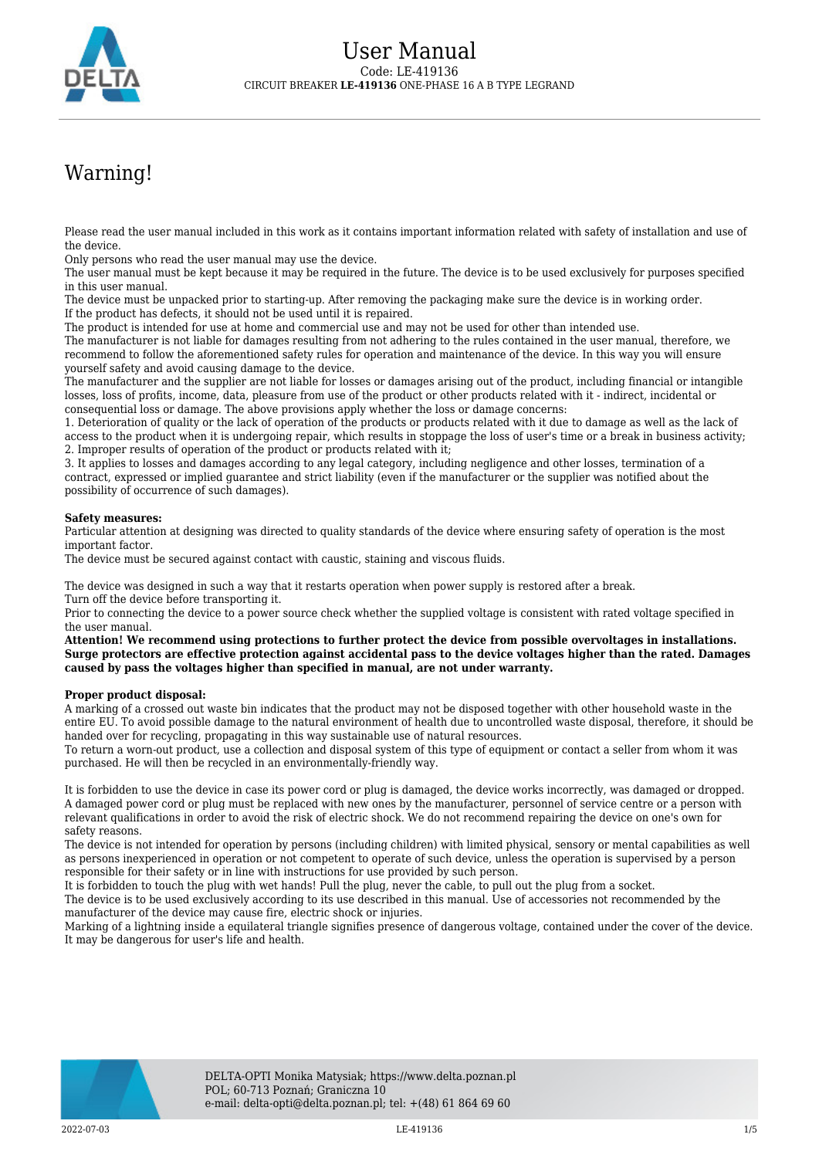

## Warning!

Please read the user manual included in this work as it contains important information related with safety of installation and use of the device.

Only persons who read the user manual may use the device.

The user manual must be kept because it may be required in the future. The device is to be used exclusively for purposes specified in this user manual.

The device must be unpacked prior to starting-up. After removing the packaging make sure the device is in working order. If the product has defects, it should not be used until it is repaired.

The product is intended for use at home and commercial use and may not be used for other than intended use.

The manufacturer is not liable for damages resulting from not adhering to the rules contained in the user manual, therefore, we recommend to follow the aforementioned safety rules for operation and maintenance of the device. In this way you will ensure yourself safety and avoid causing damage to the device.

The manufacturer and the supplier are not liable for losses or damages arising out of the product, including financial or intangible losses, loss of profits, income, data, pleasure from use of the product or other products related with it - indirect, incidental or consequential loss or damage. The above provisions apply whether the loss or damage concerns:

1. Deterioration of quality or the lack of operation of the products or products related with it due to damage as well as the lack of access to the product when it is undergoing repair, which results in stoppage the loss of user's time or a break in business activity; 2. Improper results of operation of the product or products related with it;

3. It applies to losses and damages according to any legal category, including negligence and other losses, termination of a contract, expressed or implied guarantee and strict liability (even if the manufacturer or the supplier was notified about the possibility of occurrence of such damages).

## **Safety measures:**

Particular attention at designing was directed to quality standards of the device where ensuring safety of operation is the most important factor.

The device must be secured against contact with caustic, staining and viscous fluids.

The device was designed in such a way that it restarts operation when power supply is restored after a break. Turn off the device before transporting it.

Prior to connecting the device to a power source check whether the supplied voltage is consistent with rated voltage specified in the user manual.

**Attention! We recommend using protections to further protect the device from possible overvoltages in installations. Surge protectors are effective protection against accidental pass to the device voltages higher than the rated. Damages caused by pass the voltages higher than specified in manual, are not under warranty.**

## **Proper product disposal:**

A marking of a crossed out waste bin indicates that the product may not be disposed together with other household waste in the entire EU. To avoid possible damage to the natural environment of health due to uncontrolled waste disposal, therefore, it should be handed over for recycling, propagating in this way sustainable use of natural resources.

To return a worn-out product, use a collection and disposal system of this type of equipment or contact a seller from whom it was purchased. He will then be recycled in an environmentally-friendly way.

It is forbidden to use the device in case its power cord or plug is damaged, the device works incorrectly, was damaged or dropped. A damaged power cord or plug must be replaced with new ones by the manufacturer, personnel of service centre or a person with relevant qualifications in order to avoid the risk of electric shock. We do not recommend repairing the device on one's own for safety reasons.

The device is not intended for operation by persons (including children) with limited physical, sensory or mental capabilities as well as persons inexperienced in operation or not competent to operate of such device, unless the operation is supervised by a person responsible for their safety or in line with instructions for use provided by such person.

It is forbidden to touch the plug with wet hands! Pull the plug, never the cable, to pull out the plug from a socket.

The device is to be used exclusively according to its use described in this manual. Use of accessories not recommended by the manufacturer of the device may cause fire, electric shock or injuries.

Marking of a lightning inside a equilateral triangle signifies presence of dangerous voltage, contained under the cover of the device. It may be dangerous for user's life and health.

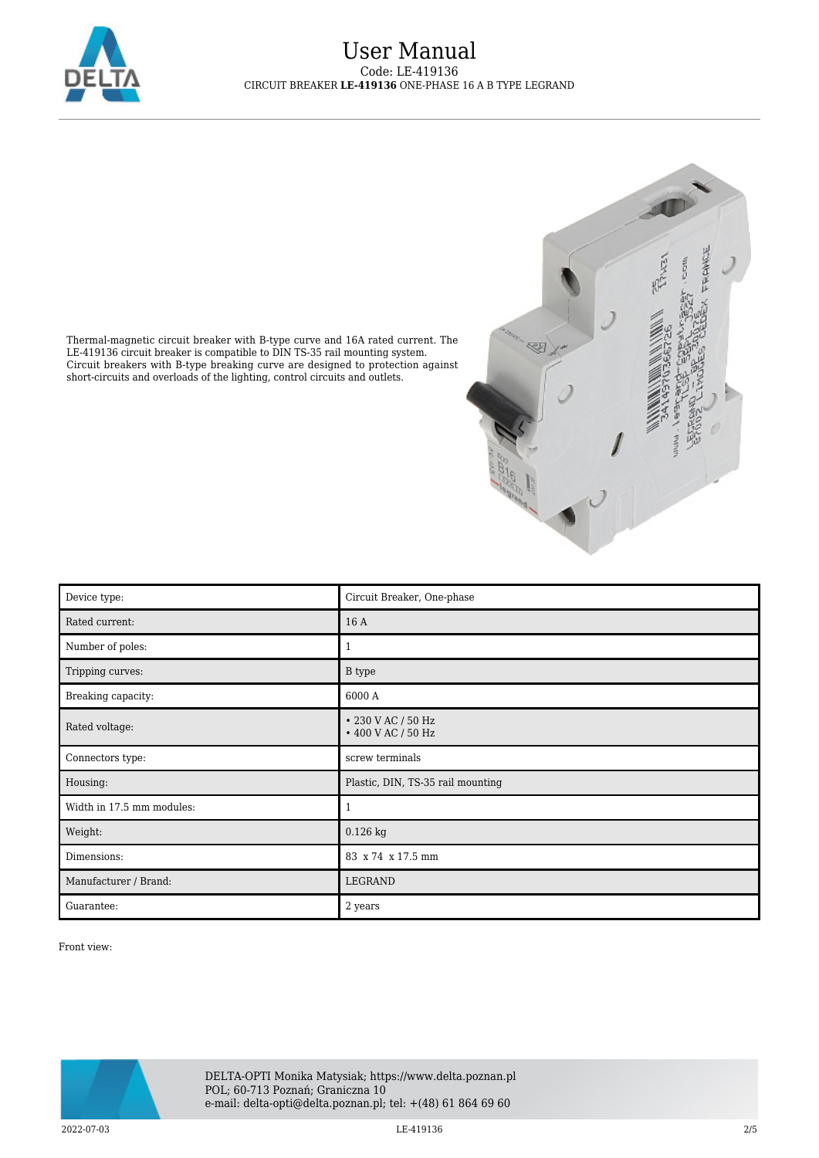



Thermal-magnetic circuit breaker with B-type curve and 16A rated current. The LE-419136 circuit breaker is compatible to DIN TS-35 rail mounting system. Circuit breakers with B-type breaking curve are designed to protection against short-circuits and overloads of the lighting, control circuits and outlets.

| Device type:              | Circuit Breaker, One-phase               |
|---------------------------|------------------------------------------|
| Rated current:            | 16 A                                     |
| Number of poles:          | 1                                        |
| Tripping curves:          | <b>B</b> type                            |
| Breaking capacity:        | 6000 A                                   |
| Rated voltage:            | • 230 V AC / 50 Hz<br>• 400 V AC / 50 Hz |
| Connectors type:          | screw terminals                          |
| Housing:                  | Plastic, DIN, TS-35 rail mounting        |
| Width in 17.5 mm modules: | 1                                        |
| Weight:                   | $0.126$ kg                               |
| Dimensions:               | 83 x 74 x 17.5 mm                        |
| Manufacturer / Brand:     | LEGRAND                                  |
| Guarantee:                | 2 years                                  |

Front view:

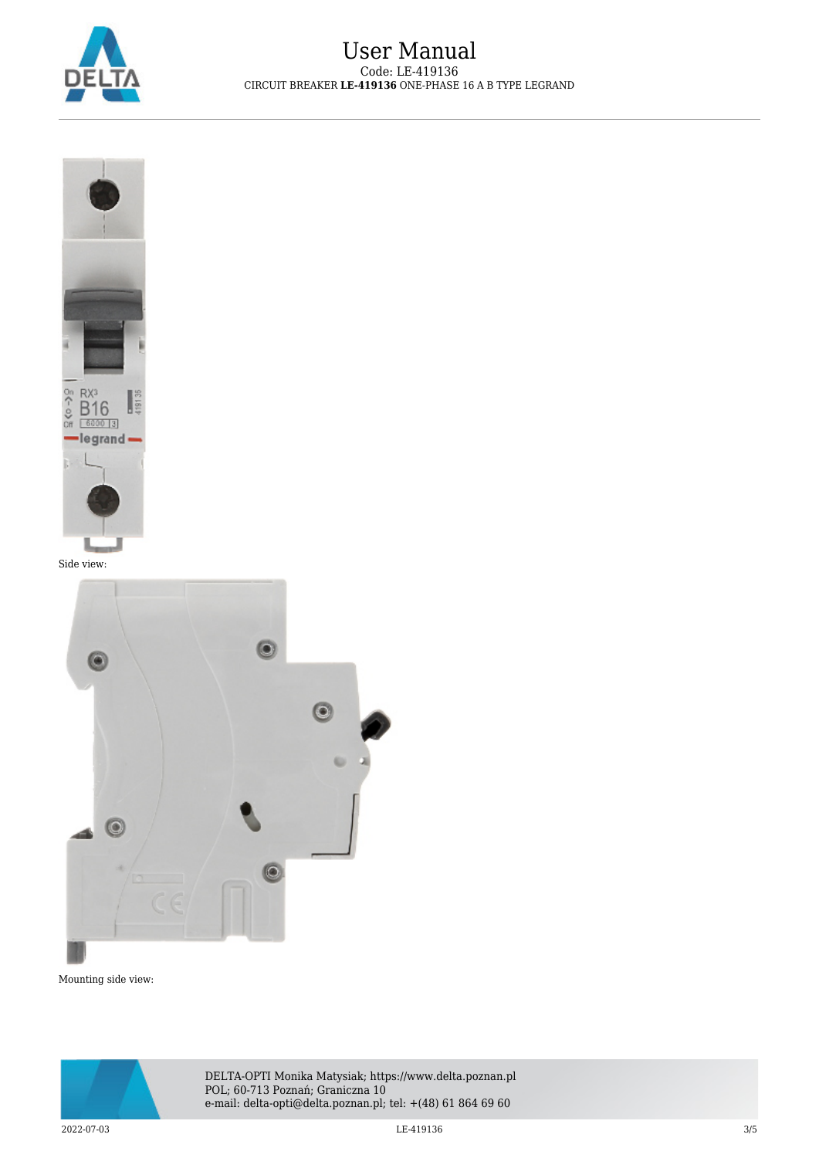



Side view:



Mounting side view:



DELTA-OPTI Monika Matysiak; https://www.delta.poznan.pl POL; 60-713 Poznań; Graniczna 10 e-mail: delta-opti@delta.poznan.pl; tel: +(48) 61 864 69 60

 $\rm LE\text{-}419136$  and  $\rm LE\text{-}419136$  and  $\rm LE\text{-}419136$  and  $\rm 3/5$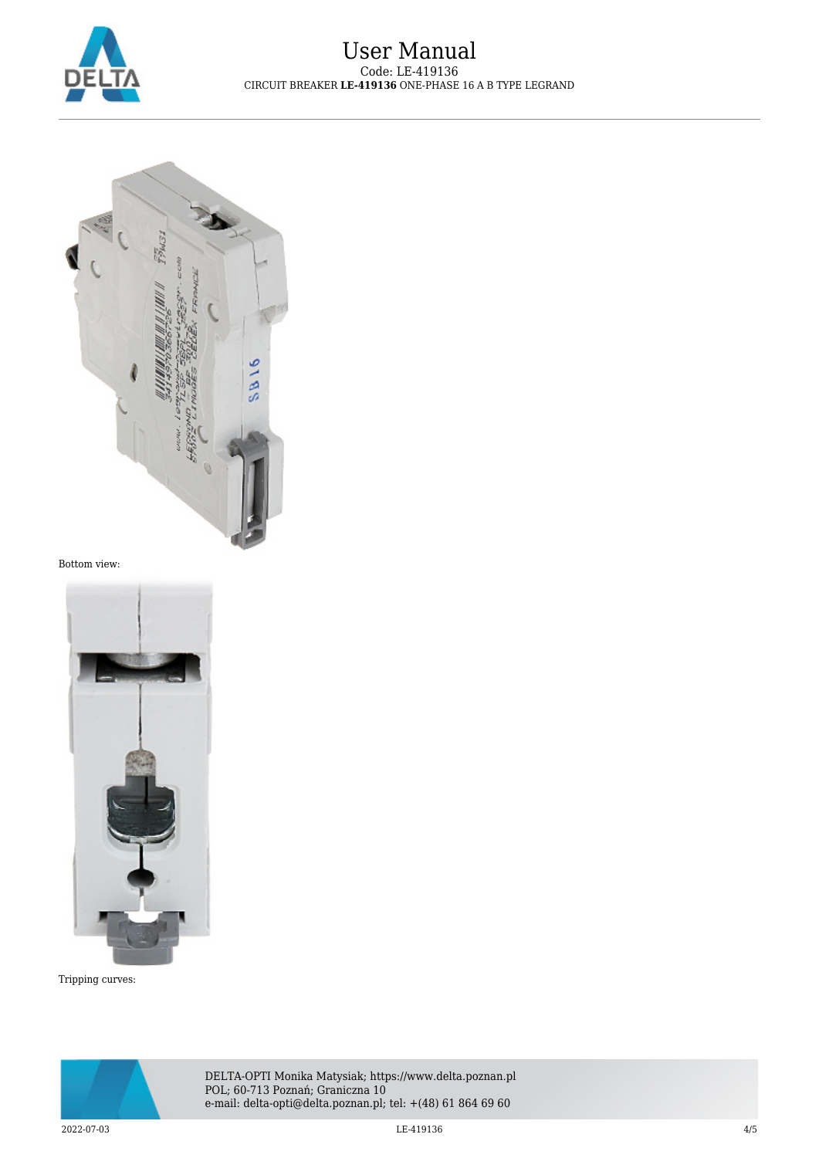



Bottom view:



Tripping curves: